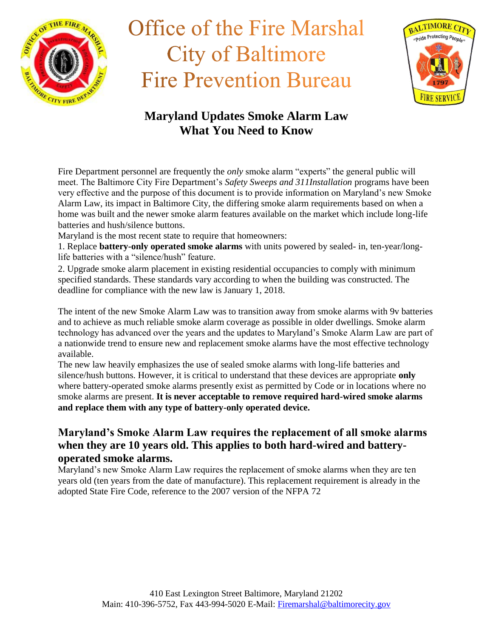



### **Maryland Updates Smoke Alarm Law What You Need to Know**

Fire Department personnel are frequently the *only* smoke alarm "experts" the general public will meet. The Baltimore City Fire Department's *Safety Sweeps and 311Installation* programs have been very effective and the purpose of this document is to provide information on Maryland's new Smoke Alarm Law, its impact in Baltimore City, the differing smoke alarm requirements based on when a home was built and the newer smoke alarm features available on the market which include long-life batteries and hush/silence buttons.

Maryland is the most recent state to require that homeowners:

1. Replace **battery-only operated smoke alarms** with units powered by sealed- in, ten-year/longlife batteries with a "silence/hush" feature.

2. Upgrade smoke alarm placement in existing residential occupancies to comply with minimum specified standards. These standards vary according to when the building was constructed. The deadline for compliance with the new law is January 1, 2018.

The intent of the new Smoke Alarm Law was to transition away from smoke alarms with 9v batteries and to achieve as much reliable smoke alarm coverage as possible in older dwellings. Smoke alarm technology has advanced over the years and the updates to Maryland's Smoke Alarm Law are part of a nationwide trend to ensure new and replacement smoke alarms have the most effective technology available.

The new law heavily emphasizes the use of sealed smoke alarms with long-life batteries and silence/hush buttons. However, it is critical to understand that these devices are appropriate **only**  where battery-operated smoke alarms presently exist as permitted by Code or in locations where no smoke alarms are present. **It is never acceptable to remove required hard-wired smoke alarms and replace them with any type of battery-only operated device.** 

#### **Maryland's Smoke Alarm Law requires the replacement of all smoke alarms when they are 10 years old. This applies to both hard-wired and batteryoperated smoke alarms.**

Maryland's new Smoke Alarm Law requires the replacement of smoke alarms when they are ten years old (ten years from the date of manufacture). This replacement requirement is already in the adopted State Fire Code, reference to the 2007 version of the NFPA 72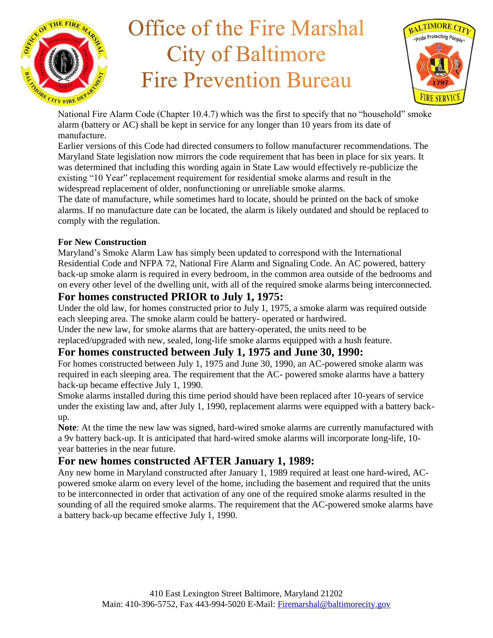



National Fire Alarm Code (Chapter 10.4.7) which was the first to specify that no "household" smoke alarm (battery or AC) shall be kept in service for any longer than 10 years from its date of manufacture.

Earlier versions of this Code had directed consumers to follow manufacturer recommendations. The Maryland State legislation now mirrors the code requirement that has been in place for six years. It was determined that including this wording again in State Law would effectively re-publicize the existing "10 Year" replacement requirement for residential smoke alarms and result in the widespread replacement of older, nonfunctioning or unreliable smoke alarms.

The date of manufacture, while sometimes hard to locate, should be printed on the back of smoke alarms. If no manufacture date can be located, the alarm is likely outdated and should be replaced to comply with the regulation.

#### **For New Construction**

Maryland's Smoke Alarm Law has simply been updated to correspond with the International Residential Code and NFPA 72, National Fire Alarm and Signaling Code. An AC powered, battery back-up smoke alarm is required in every bedroom, in the common area outside of the bedrooms and on every other level of the dwelling unit, with all of the required smoke alarms being interconnected.

### **For homes constructed PRIOR to July 1, 1975:**

Under the old law, for homes constructed prior to July 1, 1975, a smoke alarm was required outside each sleeping area. The smoke alarm could be battery- operated or hardwired.

Under the new law, for smoke alarms that are battery-operated, the units need to be

replaced/upgraded with new, sealed, long-life smoke alarms equipped with a hush feature.

#### **For homes constructed between July 1, 1975 and June 30, 1990:**

For homes constructed between July 1, 1975 and June 30, 1990, an AC-powered smoke alarm was required in each sleeping area. The requirement that the AC- powered smoke alarms have a battery back-up became effective July 1, 1990.

Smoke alarms installed during this time period should have been replaced after 10-years of service under the existing law and, after July 1, 1990, replacement alarms were equipped with a battery backup.

**Note**: At the time the new law was signed, hard-wired smoke alarms are currently manufactured with a 9v battery back-up. It is anticipated that hard-wired smoke alarms will incorporate long-life, 10 year batteries in the near future.

### **For new homes constructed AFTER January 1, 1989:**

Any new home in Maryland constructed after January 1, 1989 required at least one hard-wired, ACpowered smoke alarm on every level of the home, including the basement and required that the units to be interconnected in order that activation of any one of the required smoke alarms resulted in the sounding of all the required smoke alarms. The requirement that the AC-powered smoke alarms have a battery back-up became effective July 1, 1990.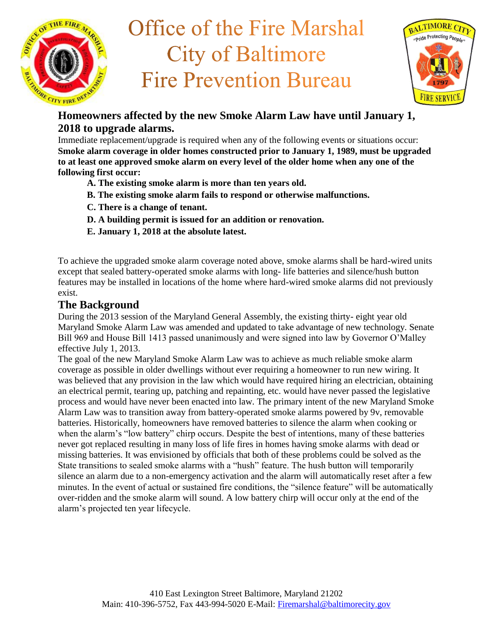



### **Homeowners affected by the new Smoke Alarm Law have until January 1, 2018 to upgrade alarms.**

Immediate replacement/upgrade is required when any of the following events or situations occur: **Smoke alarm coverage in older homes constructed prior to January 1, 1989, must be upgraded to at least one approved smoke alarm on every level of the older home when any one of the following first occur:** 

- **A. The existing smoke alarm is more than ten years old.**
- **B. The existing smoke alarm fails to respond or otherwise malfunctions.**
- **C. There is a change of tenant.**
- **D. A building permit is issued for an addition or renovation.**
- **E. January 1, 2018 at the absolute latest.**

To achieve the upgraded smoke alarm coverage noted above, smoke alarms shall be hard-wired units except that sealed battery-operated smoke alarms with long- life batteries and silence/hush button features may be installed in locations of the home where hard-wired smoke alarms did not previously exist.

#### **The Background**

During the 2013 session of the Maryland General Assembly, the existing thirty- eight year old Maryland Smoke Alarm Law was amended and updated to take advantage of new technology. Senate Bill 969 and House Bill 1413 passed unanimously and were signed into law by Governor O'Malley effective July 1, 2013.

The goal of the new Maryland Smoke Alarm Law was to achieve as much reliable smoke alarm coverage as possible in older dwellings without ever requiring a homeowner to run new wiring. It was believed that any provision in the law which would have required hiring an electrician, obtaining an electrical permit, tearing up, patching and repainting, etc. would have never passed the legislative process and would have never been enacted into law. The primary intent of the new Maryland Smoke Alarm Law was to transition away from battery-operated smoke alarms powered by 9v, removable batteries. Historically, homeowners have removed batteries to silence the alarm when cooking or when the alarm's "low battery" chirp occurs. Despite the best of intentions, many of these batteries never got replaced resulting in many loss of life fires in homes having smoke alarms with dead or missing batteries. It was envisioned by officials that both of these problems could be solved as the State transitions to sealed smoke alarms with a "hush" feature. The hush button will temporarily silence an alarm due to a non-emergency activation and the alarm will automatically reset after a few minutes. In the event of actual or sustained fire conditions, the "silence feature" will be automatically over-ridden and the smoke alarm will sound. A low battery chirp will occur only at the end of the alarm's projected ten year lifecycle.